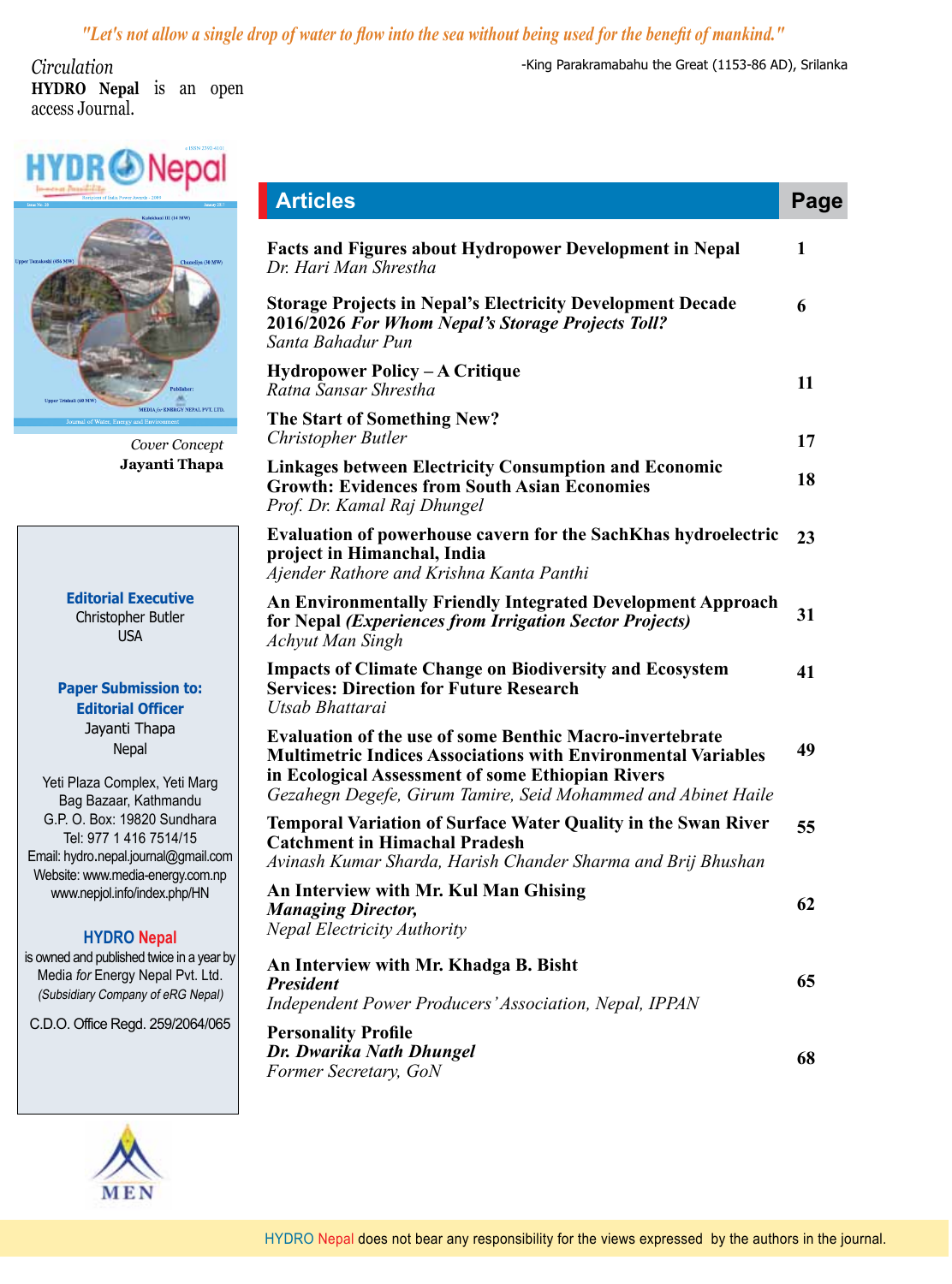*"Let's not allow a single drop of water to flow into the sea without being used for the benefit of mankind."*

**Articles**

**HYDRO Nepal** is an open access Journal.



**Upper Trishuli (60 MW)**

**Editorial Executive** Christopher Butler USA

*Cover Concept* **Jayanti Thapa**

**Publisher:**

**MEDIA** *for* **ENERGY NEPAL PVT. LTD.**

**Paper Submission to: Editorial Officer** Jayanti Thapa Nepal Yeti Plaza Complex, Yeti Marg Bag Bazaar, Kathmandu G.P. O. Box: 19820 Sundhara Tel: 977 1 416 7514/15 Email: hydro.nepal.journal@gmail.com Website: www.media-energy.com.np www.nepjol.info/index.php/HN

is owned and published twice in a year by **1 6 11 17 18 23 31 41 49 55 62 65 68 Facts and Figures about Hydropower Development in Nepal** *Dr. Hari Man Shrestha*  **Storage Projects in Nepal's Electricity Development Decade 2016/2026** *For Whom Nepal's Storage Projects Toll? Santa Bahadur Pun*  **Hydropower Policy – A Critique** *Ratna Sansar Shrestha*  **The Start of Something New?**  *Christopher Butler*  **Linkages between Electricity Consumption and Economic Growth: Evidences from South Asian Economies** *Prof. Dr. Kamal Raj Dhungel*  **Evaluation of powerhouse cavern for the SachKhas hydroelectric project in Himanchal, India** *Ajender Rathore and Krishna Kanta Panthi*  **An Environmentally Friendly Integrated Development Approach for Nepal** *(Experiences from Irrigation Sector Projects) Achyut Man Singh*  **Impacts of Climate Change on Biodiversity and Ecosystem Services: Direction for Future Research** *Utsab Bhattarai* **Evaluation of the use of some Benthic Macro-invertebrate Multimetric Indices Associations with Environmental Variables in Ecological Assessment of some Ethiopian Rivers** *Gezahegn Degefe, Girum Tamire, Seid Mohammed and Abinet Haile*  **Temporal Variation of Surface Water Quality in the Swan River Catchment in Himachal Pradesh** *Avinash Kumar Sharda, Harish Chander Sharma and Brij Bhushan* **An Interview with Mr. Kul Man Ghising** *Managing Director, Nepal Electricity Authority*  **An Interview with Mr. Khadga B. Bisht** *President Independent Power Producers' Association, Nepal, IPPAN*  **Personality Profile** *Dr. Dwarika Nath Dhungel* 



**HYDRO Nepal**

Media *for* Energy Nepal Pvt. Ltd. (Subsidiary Company of eRG Nepal) C.D.O. Office Regd. 259/2064/065



*Circulation* -King Parakramabahu the Great (1153-86 AD), Srilanka

**Page**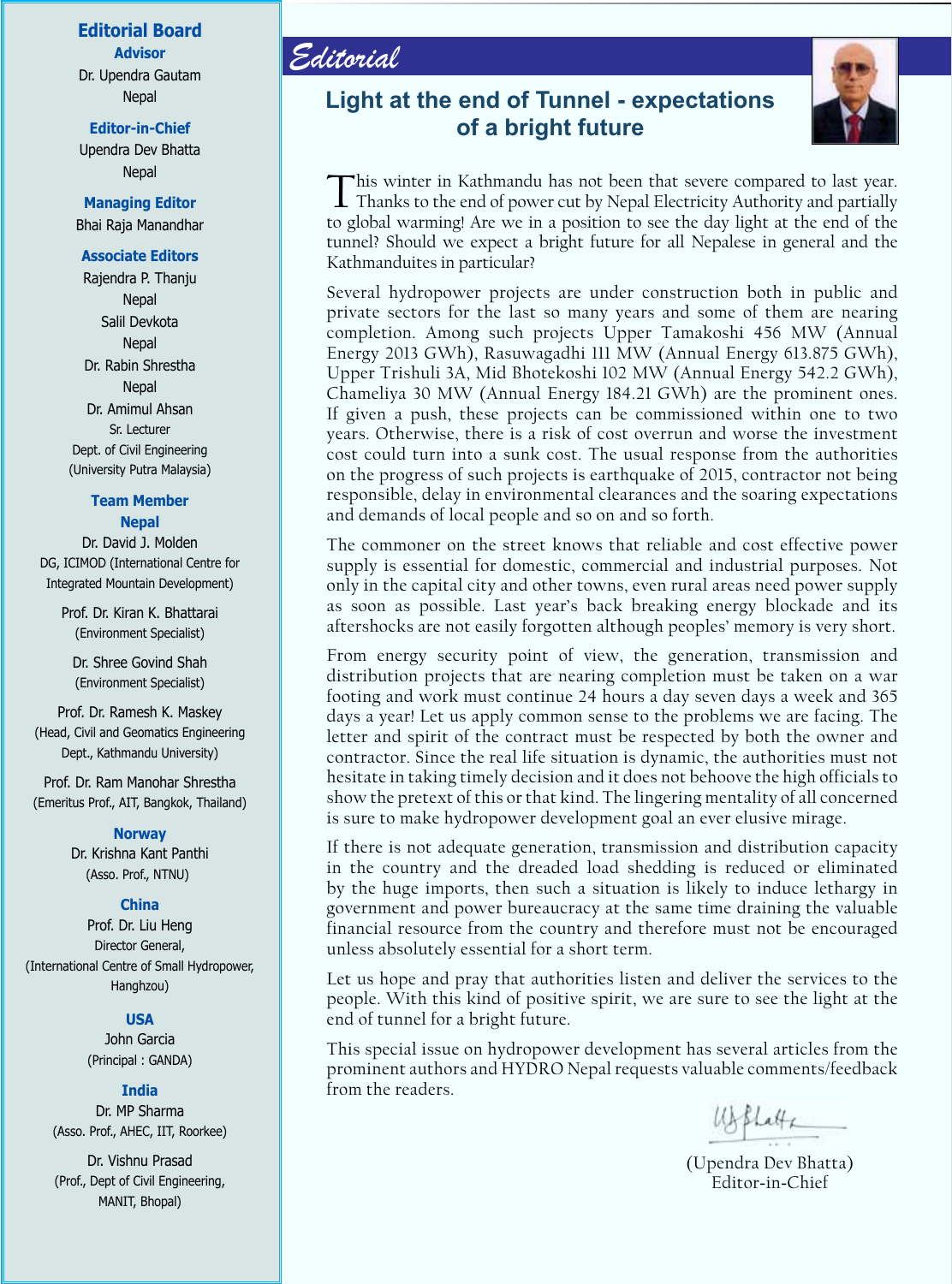## **Editorial Board Advisor**

*Editorial*

Dr. Upendra Gautam **Nepal** 

#### **Editor-in-Chief**

Upendra Dev Bhatta **Nepal** 

## **Managing Editor**

Bhai Raja Manandhar

## **Associate Editors**

Rajendra P. Thanju **Nepal** Salil Devkota Nepal Dr. Rabin Shrestha **Nepal** Dr. Amimul Ahsan Sr. Lecturer Dept. of Civil Engineering (University Putra Malaysia)

#### **Team Member Nepal**

Dr. David J. Molden DG, ICIMOD (International Centre for Integrated Mountain Development)

> Prof. Dr. Kiran K. Bhattarai (Environment Specialist)

Dr. Shree Govind Shah (Environment Specialist)

Prof. Dr. Ramesh K. Maskey (Head, Civil and Geomatics Engineering Dept., Kathmandu University)

Prof. Dr. Ram Manohar Shrestha (Emeritus Prof., AIT, Bangkok, Thailand)

#### **Norway**

Dr. Krishna Kant Panthi (Asso. Prof., NTNU)

## **China**

Prof. Dr. Liu Heng Director General, (International Centre of Small Hydropower, Hanghzou)

## **USA**

John Garcia (Principal : GANDA)

## **India**

Dr. MP Sharma (Asso. Prof., AHEC, IIT, Roorkee)

Dr. Vishnu Prasad (Prof., Dept of Civil Engineering, MANIT, Bhopal)

# **Light at the end of Tunnel - expectations of a bright future**



This winter in Kathmandu has not been that severe compared to last year. Thanks to the end of power cut by Nepal Electricity Authority and partially to global warming! Are we in a position to see the day light at the end of the tunnel? Should we expect a bright future for all Nepalese in general and the Kathmanduites in particular?

Several hydropower projects are under construction both in public and private sectors for the last so many years and some of them are nearing completion. Among such projects Upper Tamakoshi 456 MW (Annual Energy 2013 GWh), Rasuwagadhi 111 MW (Annual Energy 613.875 GWh), Upper Trishuli 3A, Mid Bhotekoshi 102 MW (Annual Energy 542.2 GWh), Chameliya 30 MW (Annual Energy 184.21 GWh) are the prominent ones. If given a push, these projects can be commissioned within one to two years. Otherwise, there is a risk of cost overrun and worse the investment cost could turn into a sunk cost. The usual response from the authorities on the progress of such projects is earthquake of 2015, contractor not being responsible, delay in environmental clearances and the soaring expectations and demands of local people and so on and so forth.

The commoner on the street knows that reliable and cost effective power supply is essential for domestic, commercial and industrial purposes. Not only in the capital city and other towns, even rural areas need power supply as soon as possible. Last year's back breaking energy blockade and its aftershocks are not easily forgotten although peoples' memory is very short.

From energy security point of view, the generation, transmission and distribution projects that are nearing completion must be taken on a war footing and work must continue 24 hours a day seven days a week and 365 days a year! Let us apply common sense to the problems we are facing. The letter and spirit of the contract must be respected by both the owner and contractor. Since the real life situation is dynamic, the authorities must not hesitate in taking timely decision and it does not behoove the high officials to show the pretext of this or that kind. The lingering mentality of all concerned is sure to make hydropower development goal an ever elusive mirage.

If there is not adequate generation, transmission and distribution capacity in the country and the dreaded load shedding is reduced or eliminated by the huge imports, then such a situation is likely to induce lethargy in government and power bureaucracy at the same time draining the valuable financial resource from the country and therefore must not be encouraged unless absolutely essential for a short term.

Let us hope and pray that authorities listen and deliver the services to the people. With this kind of positive spirit, we are sure to see the light at the end of tunnel for a bright future.

This special issue on hydropower development has several articles from the prominent authors and HYDRO Nepal requests valuable comments/feedback from the readers.

2 HYDRO NEPAL I ISSUE NO. 2017 NEPAL I ISSUE NO. 2017 NEPAL I ISSUE NO. 2017 NEPAL I ISSUE NO. 2017 NEPAL I IS

Willette

(Upendra Dev Bhatta) Editor-in-Chief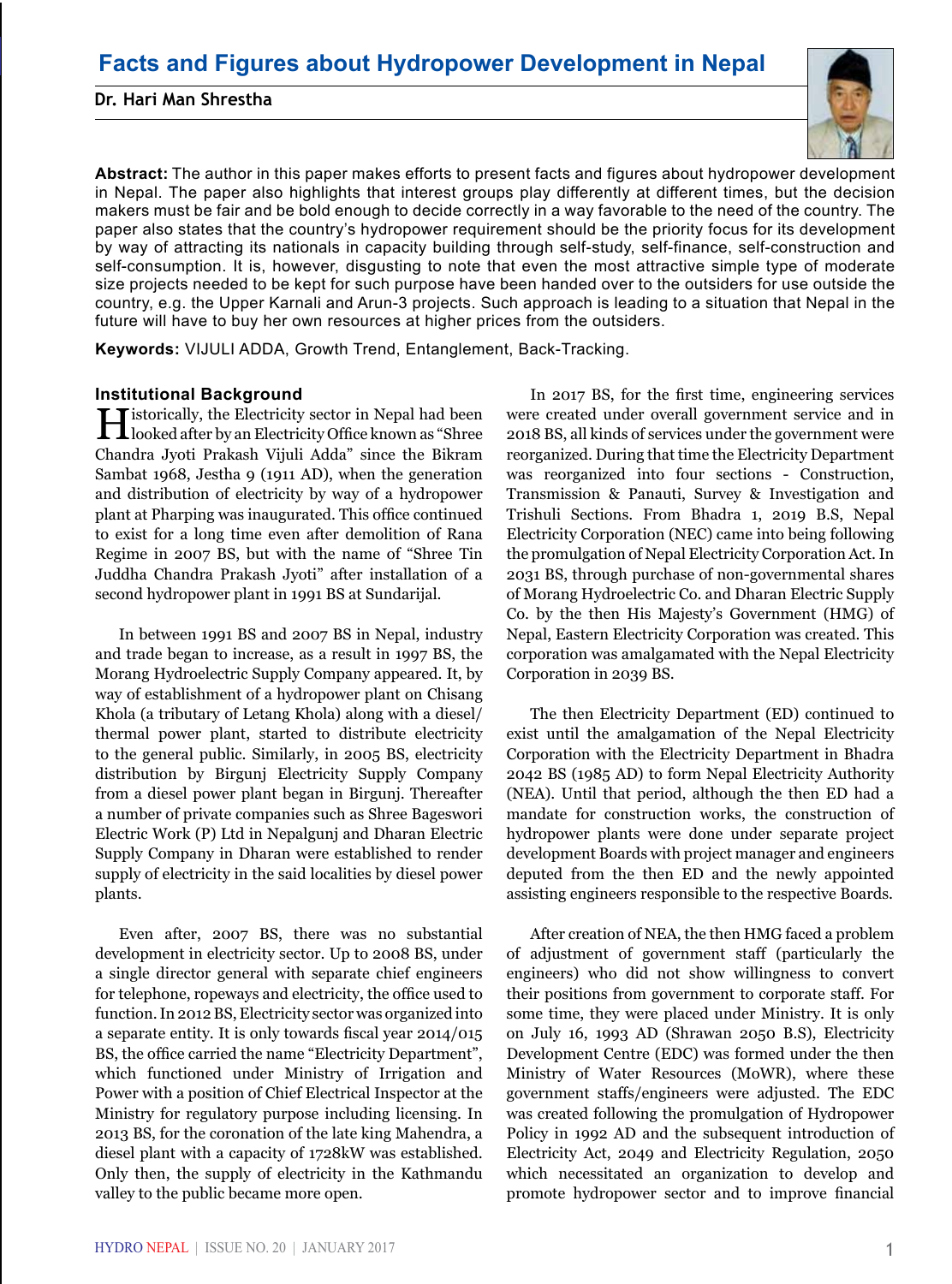#### **Dr. Hari Man Shrestha**



**Abstract:** The author in this paper makes efforts to present facts and figures about hydropower development in Nepal. The paper also highlights that interest groups play differently at different times, but the decision makers must be fair and be bold enough to decide correctly in a way favorable to the need of the country. The paper also states that the country's hydropower requirement should be the priority focus for its development by way of attracting its nationals in capacity building through self-study, self-finance, self-construction and self-consumption. It is, however, disgusting to note that even the most attractive simple type of moderate size projects needed to be kept for such purpose have been handed over to the outsiders for use outside the country, e.g. the Upper Karnali and Arun-3 projects. Such approach is leading to a situation that Nepal in the future will have to buy her own resources at higher prices from the outsiders.

**Keywords:** VIJULI ADDA, Growth Trend, Entanglement, Back-Tracking.

#### **Institutional Background**

**Henry Electricity sector in Nepal had been** looked after by an Electricity Office known as "Shree" Chandra Jyoti Prakash Vijuli Adda" since the Bikram Sambat 1968, Jestha 9 (1911 AD), when the generation and distribution of electricity by way of a hydropower plant at Pharping was inaugurated. This office continued to exist for a long time even after demolition of Rana Regime in 2007 BS, but with the name of "Shree Tin Juddha Chandra Prakash Jyoti" after installation of a second hydropower plant in 1991 BS at Sundarijal.

In between 1991 BS and 2007 BS in Nepal, industry and trade began to increase, as a result in 1997 BS, the Morang Hydroelectric Supply Company appeared. It, by way of establishment of a hydropower plant on Chisang Khola (a tributary of Letang Khola) along with a diesel/ thermal power plant, started to distribute electricity to the general public. Similarly, in 2005 BS, electricity distribution by Birgunj Electricity Supply Company from a diesel power plant began in Birgunj. Thereafter a number of private companies such as Shree Bageswori Electric Work (P) Ltd in Nepalgunj and Dharan Electric Supply Company in Dharan were established to render supply of electricity in the said localities by diesel power plants.

Even after, 2007 BS, there was no substantial development in electricity sector. Up to 2008 BS, under a single director general with separate chief engineers for telephone, ropeways and electricity, the office used to function. In 2012 BS, Electricity sector was organized into a separate entity. It is only towards fiscal year 2014/015 BS, the office carried the name "Electricity Department", which functioned under Ministry of Irrigation and Power with a position of Chief Electrical Inspector at the Ministry for regulatory purpose including licensing. In 2013 BS, for the coronation of the late king Mahendra, a diesel plant with a capacity of 1728kW was established. Only then, the supply of electricity in the Kathmandu valley to the public became more open.

In 2017 BS, for the first time, engineering services were created under overall government service and in 2018 BS, all kinds of services under the government were reorganized. During that time the Electricity Department was reorganized into four sections - Construction, Transmission & Panauti, Survey & Investigation and Trishuli Sections. From Bhadra 1, 2019 B.S, Nepal Electricity Corporation (NEC) came into being following the promulgation of Nepal Electricity Corporation Act. In 2031 BS, through purchase of non-governmental shares of Morang Hydroelectric Co. and Dharan Electric Supply Co. by the then His Majesty's Government (HMG) of Nepal, Eastern Electricity Corporation was created. This corporation was amalgamated with the Nepal Electricity Corporation in 2039 BS.

The then Electricity Department (ED) continued to exist until the amalgamation of the Nepal Electricity Corporation with the Electricity Department in Bhadra 2042 BS (1985 AD) to form Nepal Electricity Authority (NEA). Until that period, although the then ED had a mandate for construction works, the construction of hydropower plants were done under separate project development Boards with project manager and engineers deputed from the then ED and the newly appointed assisting engineers responsible to the respective Boards.

After creation of NEA, the then HMG faced a problem of adjustment of government staff (particularly the engineers) who did not show willingness to convert their positions from government to corporate staff. For some time, they were placed under Ministry. It is only on July 16, 1993 AD (Shrawan 2050 B.S), Electricity Development Centre (EDC) was formed under the then Ministry of Water Resources (MoWR), where these government staffs/engineers were adjusted. The EDC was created following the promulgation of Hydropower Policy in 1992 AD and the subsequent introduction of Electricity Act, 2049 and Electricity Regulation, 2050 which necessitated an organization to develop and promote hydropower sector and to improve financial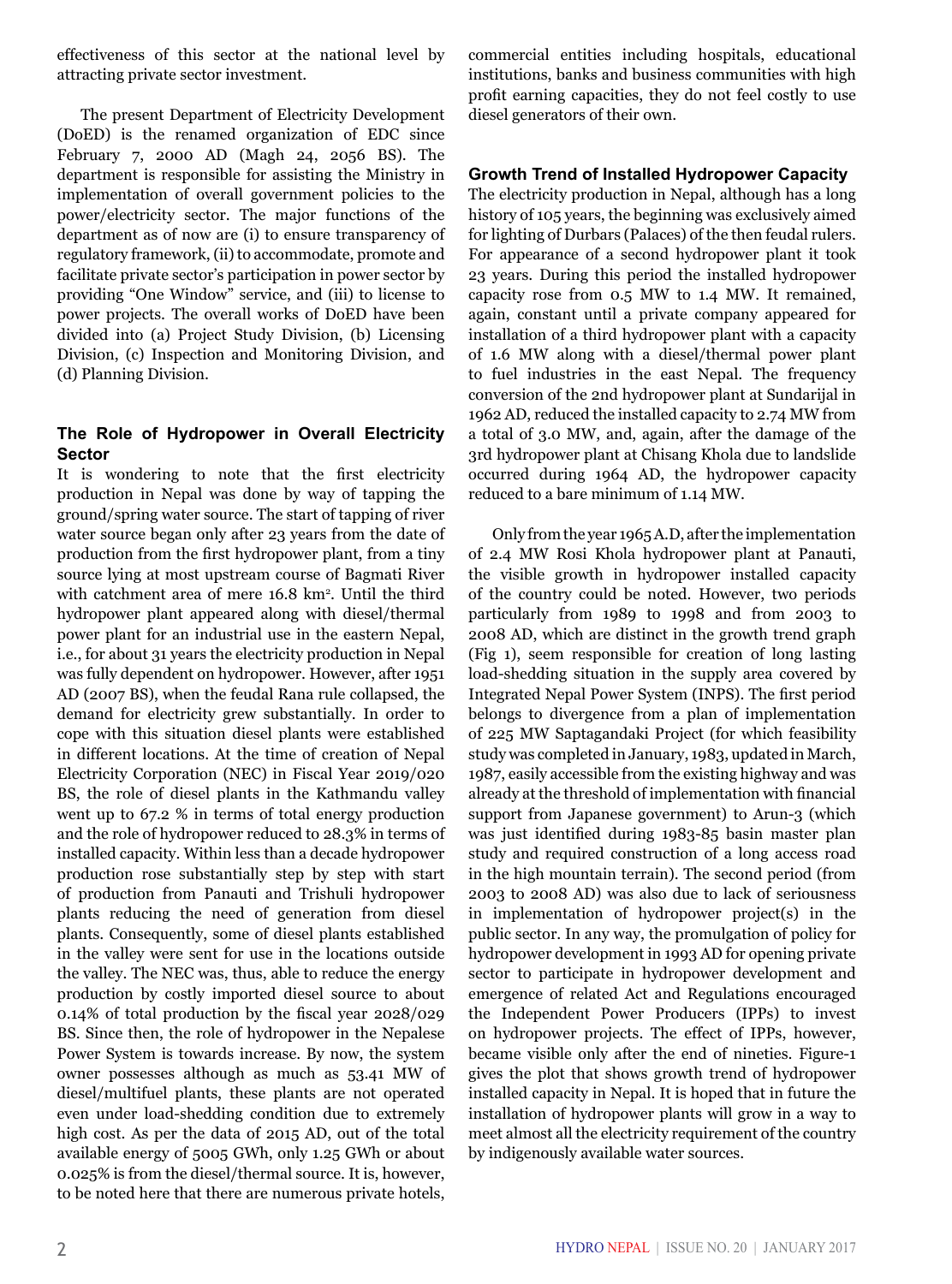effectiveness of this sector at the national level by attracting private sector investment.

The present Department of Electricity Development (DoED) is the renamed organization of EDC since February 7, 2000 AD (Magh 24, 2056 BS). The department is responsible for assisting the Ministry in implementation of overall government policies to the power/electricity sector. The major functions of the department as of now are (i) to ensure transparency of regulatory framework, (ii) to accommodate, promote and facilitate private sector's participation in power sector by providing "One Window" service, and (iii) to license to power projects. The overall works of DoED have been divided into (a) Project Study Division, (b) Licensing Division, (c) Inspection and Monitoring Division, and (d) Planning Division.

## **The Role of Hydropower in Overall Electricity Sector**

It is wondering to note that the first electricity production in Nepal was done by way of tapping the ground/spring water source. The start of tapping of river water source began only after 23 years from the date of production from the first hydropower plant, from a tiny source lying at most upstream course of Bagmati River with catchment area of mere 16.8 km<sup>2</sup>. Until the third hydropower plant appeared along with diesel/thermal power plant for an industrial use in the eastern Nepal, i.e., for about 31 years the electricity production in Nepal was fully dependent on hydropower. However, after 1951 AD (2007 BS), when the feudal Rana rule collapsed, the demand for electricity grew substantially. In order to cope with this situation diesel plants were established in different locations. At the time of creation of Nepal Electricity Corporation (NEC) in Fiscal Year 2019/020 BS, the role of diesel plants in the Kathmandu valley went up to 67.2 % in terms of total energy production and the role of hydropower reduced to 28.3% in terms of installed capacity. Within less than a decade hydropower production rose substantially step by step with start of production from Panauti and Trishuli hydropower plants reducing the need of generation from diesel plants. Consequently, some of diesel plants established in the valley were sent for use in the locations outside the valley. The NEC was, thus, able to reduce the energy production by costly imported diesel source to about 0.14% of total production by the fiscal year 2028/029 BS. Since then, the role of hydropower in the Nepalese Power System is towards increase. By now, the system owner possesses although as much as 53.41 MW of diesel/multifuel plants, these plants are not operated even under load-shedding condition due to extremely high cost. As per the data of 2015 AD, out of the total available energy of 5005 GWh, only 1.25 GWh or about 0.025% is from the diesel/thermal source. It is, however, to be noted here that there are numerous private hotels,

commercial entities including hospitals, educational institutions, banks and business communities with high profit earning capacities, they do not feel costly to use diesel generators of their own.

#### **Growth Trend of Installed Hydropower Capacity**

The electricity production in Nepal, although has a long history of 105 years, the beginning was exclusively aimed for lighting of Durbars (Palaces) of the then feudal rulers. For appearance of a second hydropower plant it took 23 years. During this period the installed hydropower capacity rose from 0.5 MW to 1.4 MW. It remained, again, constant until a private company appeared for installation of a third hydropower plant with a capacity of 1.6 MW along with a diesel/thermal power plant to fuel industries in the east Nepal. The frequency conversion of the 2nd hydropower plant at Sundarijal in 1962 AD, reduced the installed capacity to 2.74 MW from a total of 3.0 MW, and, again, after the damage of the 3rd hydropower plant at Chisang Khola due to landslide occurred during 1964 AD, the hydropower capacity reduced to a bare minimum of 1.14 MW.

Only from the year 1965 A.D, after the implementation of 2.4 MW Rosi Khola hydropower plant at Panauti, the visible growth in hydropower installed capacity of the country could be noted. However, two periods particularly from 1989 to 1998 and from 2003 to 2008 AD, which are distinct in the growth trend graph (Fig 1), seem responsible for creation of long lasting load-shedding situation in the supply area covered by Integrated Nepal Power System (INPS). The first period belongs to divergence from a plan of implementation of 225 MW Saptagandaki Project (for which feasibility study was completed in January, 1983, updated in March, 1987, easily accessible from the existing highway and was already at the threshold of implementation with financial support from Japanese government) to Arun-3 (which was just identified during 1983-85 basin master plan study and required construction of a long access road in the high mountain terrain). The second period (from 2003 to 2008 AD) was also due to lack of seriousness in implementation of hydropower project(s) in the public sector. In any way, the promulgation of policy for hydropower development in 1993 AD for opening private sector to participate in hydropower development and emergence of related Act and Regulations encouraged the Independent Power Producers (IPPs) to invest on hydropower projects. The effect of IPPs, however, became visible only after the end of nineties. Figure-1 gives the plot that shows growth trend of hydropower installed capacity in Nepal. It is hoped that in future the installation of hydropower plants will grow in a way to meet almost all the electricity requirement of the country by indigenously available water sources.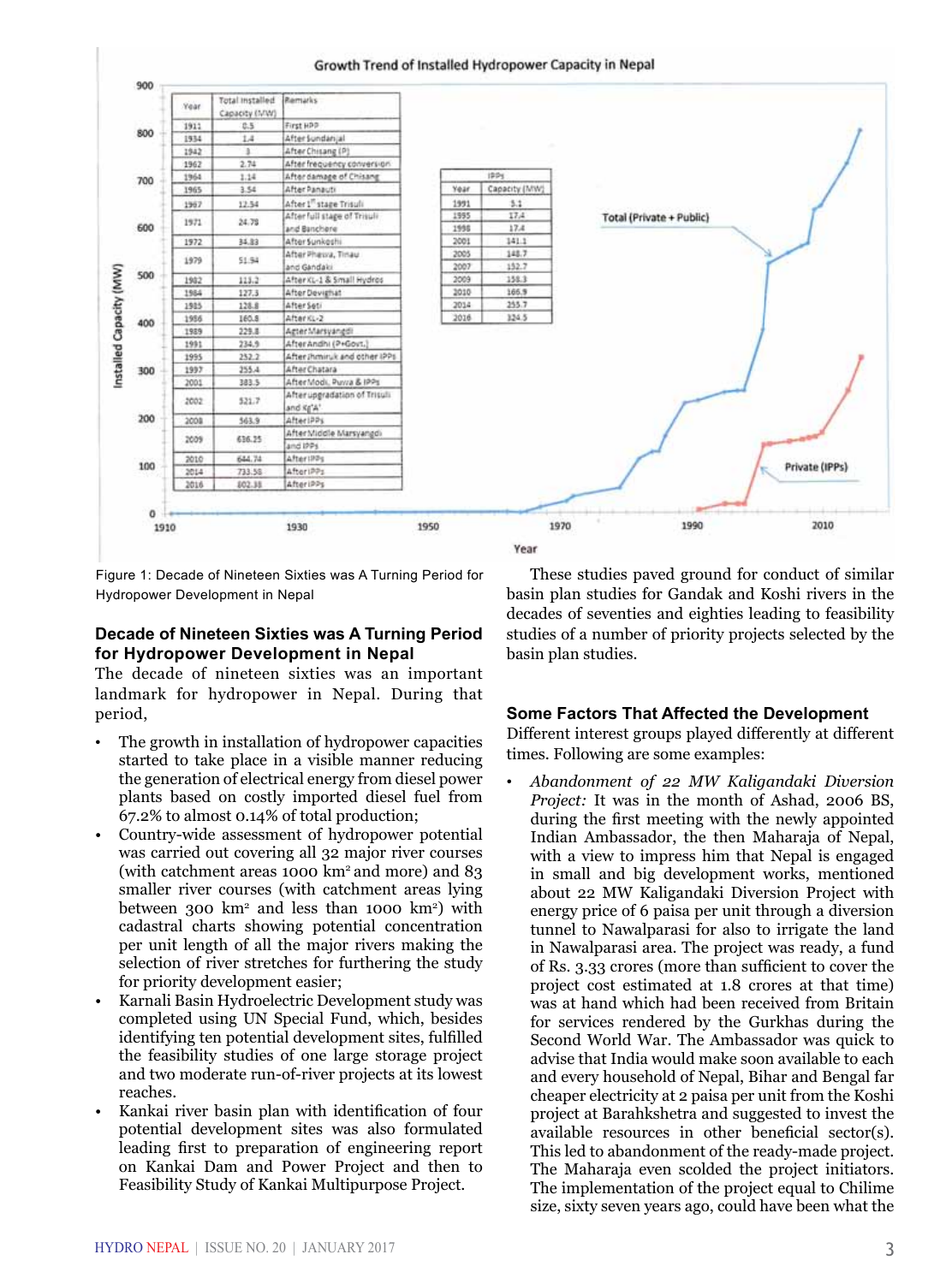

Figure 1: Decade of Nineteen Sixties was A Turning Period for Hydropower Development in Nepal

## **Decade of Nineteen Sixties was A Turning Period for Hydropower Development in Nepal**

The decade of nineteen sixties was an important landmark for hydropower in Nepal. During that period,

- The growth in installation of hydropower capacities started to take place in a visible manner reducing the generation of electrical energy from diesel power plants based on costly imported diesel fuel from 67.2% to almost 0.14% of total production;
- Country-wide assessment of hydropower potential was carried out covering all 32 major river courses (with catchment areas 1000  $km^2$  and more) and 83 smaller river courses (with catchment areas lying between 300 km2 and less than 1000 km2 ) with cadastral charts showing potential concentration per unit length of all the major rivers making the selection of river stretches for furthering the study for priority development easier;
- Karnali Basin Hydroelectric Development study was completed using UN Special Fund, which, besides identifying ten potential development sites, fulfilled the feasibility studies of one large storage project and two moderate run-of-river projects at its lowest reaches.
- Kankai river basin plan with identification of four potential development sites was also formulated leading first to preparation of engineering report on Kankai Dam and Power Project and then to Feasibility Study of Kankai Multipurpose Project.

These studies paved ground for conduct of similar basin plan studies for Gandak and Koshi rivers in the decades of seventies and eighties leading to feasibility studies of a number of priority projects selected by the basin plan studies.

#### **Some Factors That Affected the Development**

Different interest groups played differently at different times. Following are some examples:

Abandonment of 22 MW Kaligandaki Diversion *Project:* It was in the month of Ashad, 2006 BS, during the first meeting with the newly appointed Indian Ambassador, the then Maharaja of Nepal, with a view to impress him that Nepal is engaged in small and big development works, mentioned about 22 MW Kaligandaki Diversion Project with energy price of 6 paisa per unit through a diversion tunnel to Nawalparasi for also to irrigate the land in Nawalparasi area. The project was ready, a fund of Rs. 3.33 crores (more than sufficient to cover the project cost estimated at 1.8 crores at that time) was at hand which had been received from Britain for services rendered by the Gurkhas during the Second World War. The Ambassador was quick to advise that India would make soon available to each and every household of Nepal, Bihar and Bengal far cheaper electricity at 2 paisa per unit from the Koshi project at Barahkshetra and suggested to invest the available resources in other beneficial sector(s). This led to abandonment of the ready-made project. The Maharaja even scolded the project initiators. The implementation of the project equal to Chilime size, sixty seven years ago, could have been what the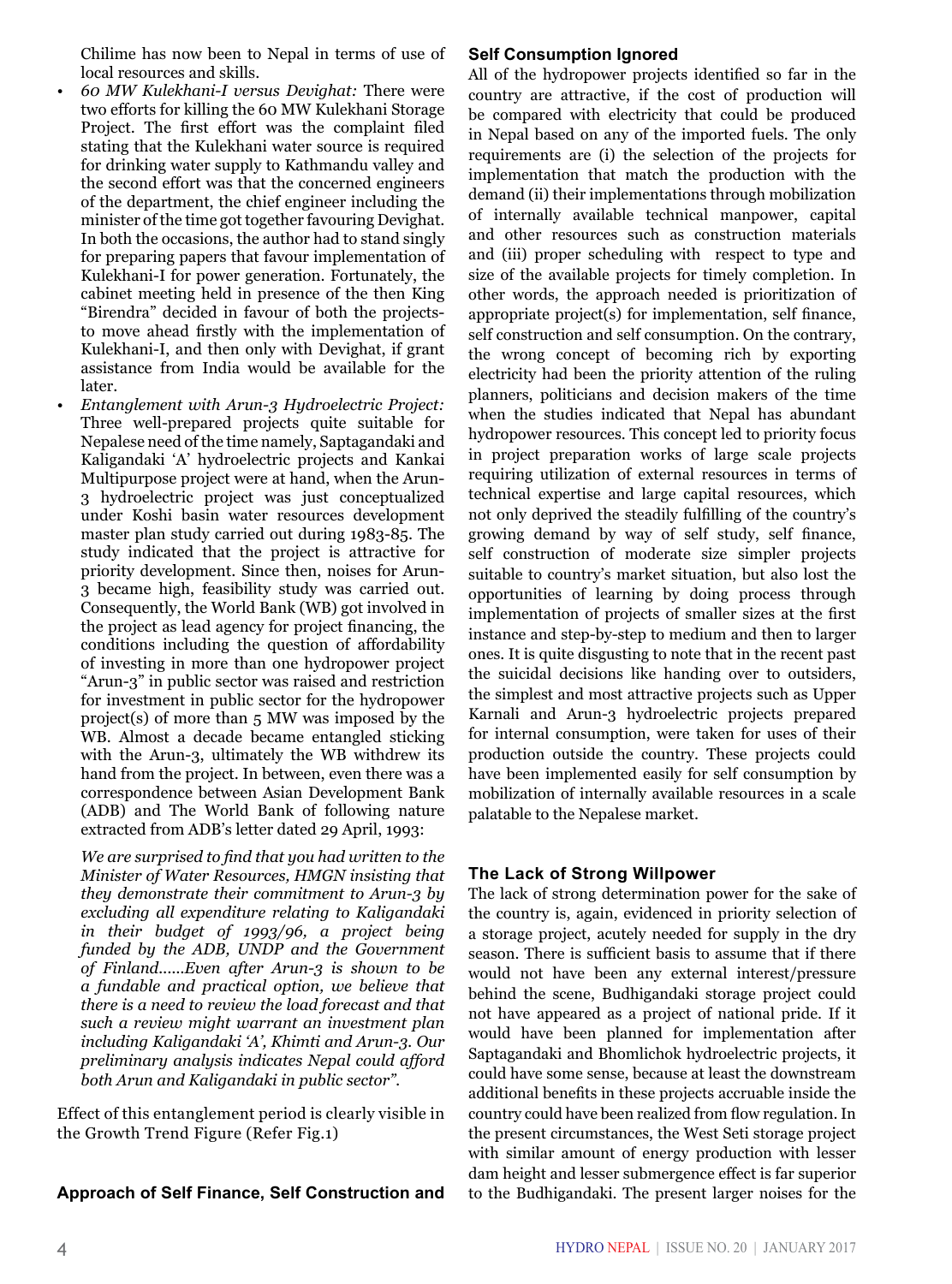Chilime has now been to Nepal in terms of use of local resources and skills.

- *60 MW Kulekhani-I versus Devighat:* There were two efforts for killing the 60 MW Kulekhani Storage Project. The first effort was the complaint filed stating that the Kulekhani water source is required for drinking water supply to Kathmandu valley and the second effort was that the concerned engineers of the department, the chief engineer including the minister of the time got together favouring Devighat. In both the occasions, the author had to stand singly for preparing papers that favour implementation of Kulekhani-I for power generation. Fortunately, the cabinet meeting held in presence of the then King "Birendra" decided in favour of both the projectsto move ahead firstly with the implementation of Kulekhani-I, and then only with Devighat, if grant assistance from India would be available for the later.
- *Entanglement with Arun-3 Hydroelectric Project:* Three well-prepared projects quite suitable for Nepalese need of the time namely, Saptagandaki and Kaligandaki 'A' hydroelectric projects and Kankai Multipurpose project were at hand, when the Arun-3 hydroelectric project was just conceptualized under Koshi basin water resources development master plan study carried out during 1983-85. The study indicated that the project is attractive for priority development. Since then, noises for Arun-3 became high, feasibility study was carried out. Consequently, the World Bank (WB) got involved in the project as lead agency for project financing, the conditions including the question of affordability of investing in more than one hydropower project "Arun-3" in public sector was raised and restriction for investment in public sector for the hydropower project(s) of more than 5 MW was imposed by the WB. Almost a decade became entangled sticking with the Arun-3, ultimately the WB withdrew its hand from the project. In between, even there was a correspondence between Asian Development Bank (ADB) and The World Bank of following nature extracted from ADB's letter dated 29 April, 1993:

*We are surprised to find that you had written to the Minister of Water Resources, HMGN insisting that they demonstrate their commitment to Arun-3 by excluding all expenditure relating to Kaligandaki in their budget of 1993/96, a project being funded by the ADB, UNDP and the Government of Finland......Even after Arun-3 is shown to be a fundable and practical option, we believe that there is a need to review the load forecast and that such a review might warrant an investment plan including Kaligandaki 'A', Khimti and Arun-3. Our preliminary analysis indicates Nepal could afford both Arun and Kaligandaki in public sector".*

Effect of this entanglement period is clearly visible in the Growth Trend Figure (Refer Fig.1)

## **Approach of Self Finance, Self Construction and**

#### **Self Consumption Ignored**

All of the hydropower projects identified so far in the country are attractive, if the cost of production will be compared with electricity that could be produced in Nepal based on any of the imported fuels. The only requirements are (i) the selection of the projects for implementation that match the production with the demand (ii) their implementations through mobilization of internally available technical manpower, capital and other resources such as construction materials and (iii) proper scheduling with respect to type and size of the available projects for timely completion. In other words, the approach needed is prioritization of appropriate project(s) for implementation, self finance, self construction and self consumption. On the contrary, the wrong concept of becoming rich by exporting electricity had been the priority attention of the ruling planners, politicians and decision makers of the time when the studies indicated that Nepal has abundant hydropower resources. This concept led to priority focus in project preparation works of large scale projects requiring utilization of external resources in terms of technical expertise and large capital resources, which not only deprived the steadily fulfilling of the country's growing demand by way of self study, self finance, self construction of moderate size simpler projects suitable to country's market situation, but also lost the opportunities of learning by doing process through implementation of projects of smaller sizes at the first instance and step-by-step to medium and then to larger ones. It is quite disgusting to note that in the recent past the suicidal decisions like handing over to outsiders, the simplest and most attractive projects such as Upper Karnali and Arun-3 hydroelectric projects prepared for internal consumption, were taken for uses of their production outside the country. These projects could have been implemented easily for self consumption by mobilization of internally available resources in a scale palatable to the Nepalese market.

## **The Lack of Strong Willpower**

The lack of strong determination power for the sake of the country is, again, evidenced in priority selection of a storage project, acutely needed for supply in the dry season. There is sufficient basis to assume that if there would not have been any external interest/pressure behind the scene, Budhigandaki storage project could not have appeared as a project of national pride. If it would have been planned for implementation after Saptagandaki and Bhomlichok hydroelectric projects, it could have some sense, because at least the downstream additional benefits in these projects accruable inside the country could have been realized from flow regulation. In the present circumstances, the West Seti storage project with similar amount of energy production with lesser dam height and lesser submergence effect is far superior to the Budhigandaki. The present larger noises for the